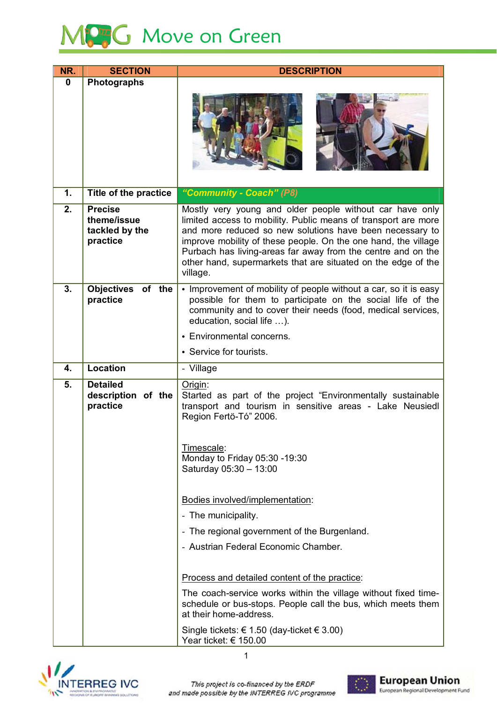

| NR.      | <b>SECTION</b>                                              | <b>DESCRIPTION</b>                                                                                                                                                                                                                                                                                                                                                                                    |
|----------|-------------------------------------------------------------|-------------------------------------------------------------------------------------------------------------------------------------------------------------------------------------------------------------------------------------------------------------------------------------------------------------------------------------------------------------------------------------------------------|
| $\bf{0}$ | <b>Photographs</b>                                          |                                                                                                                                                                                                                                                                                                                                                                                                       |
|          |                                                             |                                                                                                                                                                                                                                                                                                                                                                                                       |
| 1.       | Title of the practice                                       | "Community - Coach" (P8)                                                                                                                                                                                                                                                                                                                                                                              |
| 2.       | <b>Precise</b><br>theme/issue<br>tackled by the<br>practice | Mostly very young and older people without car have only<br>limited access to mobility. Public means of transport are more<br>and more reduced so new solutions have been necessary to<br>improve mobility of these people. On the one hand, the village<br>Purbach has living-areas far away from the centre and on the<br>other hand, supermarkets that are situated on the edge of the<br>village. |
| 3.       | <b>Objectives</b><br>of the<br>practice                     | • Improvement of mobility of people without a car, so it is easy<br>possible for them to participate on the social life of the<br>community and to cover their needs (food, medical services,<br>education, social life ).                                                                                                                                                                            |
|          |                                                             | • Environmental concerns.                                                                                                                                                                                                                                                                                                                                                                             |
|          |                                                             | • Service for tourists.                                                                                                                                                                                                                                                                                                                                                                               |
| 4.       | Location                                                    | - Village                                                                                                                                                                                                                                                                                                                                                                                             |
| 5.       | <b>Detailed</b><br>description of the<br>practice           | Origin:<br>Started as part of the project "Environmentally sustainable<br>transport and tourism in sensitive areas - Lake Neusiedl<br>Region Fertö-Tó" 2006.                                                                                                                                                                                                                                          |
|          |                                                             | Timescale:<br>Monday to Friday 05:30 -19:30<br>Saturday 05:30 - 13:00                                                                                                                                                                                                                                                                                                                                 |
|          |                                                             | Bodies involved/implementation:                                                                                                                                                                                                                                                                                                                                                                       |
|          |                                                             | - The municipality.                                                                                                                                                                                                                                                                                                                                                                                   |
|          |                                                             | - The regional government of the Burgenland.                                                                                                                                                                                                                                                                                                                                                          |
|          |                                                             | - Austrian Federal Economic Chamber.                                                                                                                                                                                                                                                                                                                                                                  |
|          |                                                             | Process and detailed content of the practice:                                                                                                                                                                                                                                                                                                                                                         |
|          |                                                             | The coach-service works within the village without fixed time-<br>schedule or bus-stops. People call the bus, which meets them<br>at their home-address.                                                                                                                                                                                                                                              |
|          |                                                             | Single tickets: € 1.50 (day-ticket € 3.00)<br>Year ticket: $\epsilon$ 150.00                                                                                                                                                                                                                                                                                                                          |





-